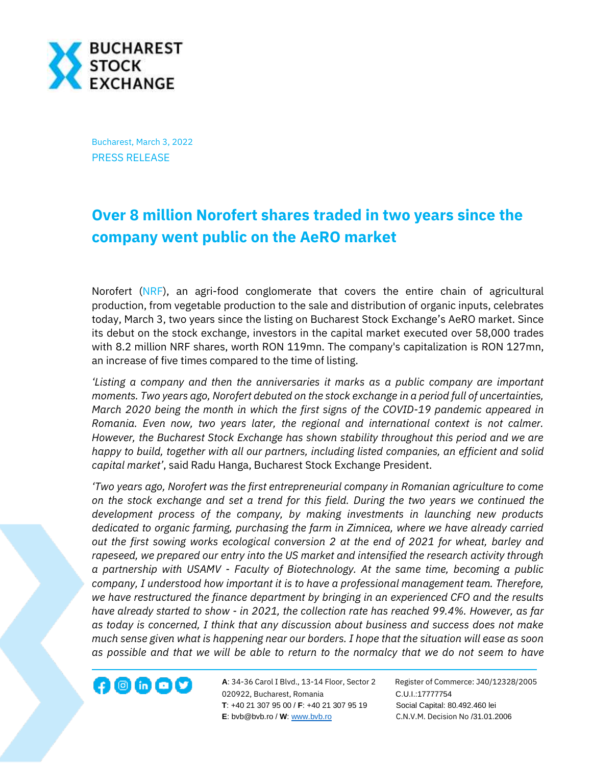

Bucharest, March 3, 2022 PRESS RELEASE

## **Over 8 million Norofert shares traded in two years since the company went public on the AeRO market**

Norofert [\(NRF\)](https://bvb.ro/FinancialInstruments/Details/FinancialInstrumentsDetails.aspx?s=nrf), an agri-food conglomerate that covers the entire chain of agricultural production, from vegetable production to the sale and distribution of organic inputs, celebrates today, March 3, two years since the listing on Bucharest Stock Exchange's AeRO market. Since its debut on the stock exchange, investors in the capital market executed over 58,000 trades with 8.2 million NRF shares, worth RON 119mn. The company's capitalization is RON 127mn, an increase of five times compared to the time of listing.

*'Listing a company and then the anniversaries it marks as a public company are important moments. Two years ago, Norofert debuted on the stock exchange in a period full of uncertainties, March 2020 being the month in which the first signs of the COVID-19 pandemic appeared in Romania. Even now, two years later, the regional and international context is not calmer. However, the Bucharest Stock Exchange has shown stability throughout this period and we are happy to build, together with all our partners, including listed companies, an efficient and solid capital market'*, said Radu Hanga, Bucharest Stock Exchange President.

*'Two years ago, Norofert was the first entrepreneurial company in Romanian agriculture to come on the stock exchange and set a trend for this field. During the two years we continued the development process of the company, by making investments in launching new products dedicated to organic farming, purchasing the farm in Zimnicea, where we have already carried out the first sowing works ecological conversion 2 at the end of 2021 for wheat, barley and rapeseed, we prepared our entry into the US market and intensified the research activity through a partnership with USAMV - Faculty of Biotechnology. At the same time, becoming a public company, I understood how important it is to have a professional management team. Therefore, we have restructured the finance department by bringing in an experienced CFO and the results have already started to show - in 2021, the collection rate has reached 99.4%. However, as far as today is concerned, I think that any discussion about business and success does not make much sense given what is happening near our borders. I hope that the situation will ease as soon as possible and that we will be able to return to the normalcy that we do not seem to have* 

**A**: 34-36 Carol I Blvd., 13-14 Floor, Sector 2 Register of Commerce: J40/12328/2005 **1200 CD CD CONF A:** 34-36 Carol I Blvd., 13-14 Floor, Sector 2 Register of Comn<br>020922, Bucharest, Romania C.U.I.:17777754  **T**: +40 21 307 95 00 / **F**: +40 21 307 95 19 Social Capital: 80.492.460 lei **E**: bvb@bvb.ro / **W**[: www.bvb.ro](http://www.bvb.ro/) C.N.V.M. Decision No /31.01.2006